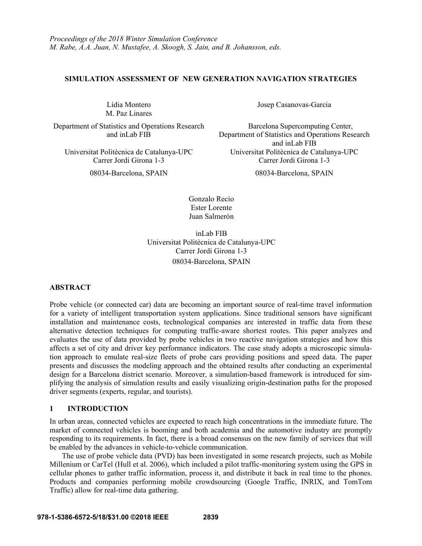### **SIMULATION ASSESSMENT OF NEW GENERATION NAVIGATION STRATEGIES**

Lídia Montero M. Paz Linares

Department of Statistics and Operations Research and inLab FIB

08034-Barcelona, SPAIN 08034-Barcelona, SPAIN

Josep Casanovas-Garcia

Barcelona Supercomputing Center, Department of Statistics and Operations Research and inLab FIB Universitat Politècnica de Catalunya-UPC Universitat Politècnica de Catalunya-UPC Carrer Jordi Girona 1-3 Carrer Jordi Girona 1-3

Gonzalo Recio Ester Lorente Juan Salmerón

inLab FIB Universitat Politècnica de Catalunya-UPC Carrer Jordi Girona 1-3 08034-Barcelona, SPAIN

# **ABSTRACT**

Probe vehicle (or connected car) data are becoming an important source of real-time travel information for a variety of intelligent transportation system applications. Since traditional sensors have significant installation and maintenance costs, technological companies are interested in traffic data from these alternative detection techniques for computing traffic-aware shortest routes. This paper analyzes and evaluates the use of data provided by probe vehicles in two reactive navigation strategies and how this affects a set of city and driver key performance indicators. The case study adopts a microscopic simulation approach to emulate real-size fleets of probe cars providing positions and speed data. The paper presents and discusses the modeling approach and the obtained results after conducting an experimental design for a Barcelona district scenario. Moreover, a simulation-based framework is introduced for simplifying the analysis of simulation results and easily visualizing origin-destination paths for the proposed driver segments (experts, regular, and tourists).

# **1 INTRODUCTION**

In urban areas, connected vehicles are expected to reach high concentrations in the immediate future. The market of connected vehicles is booming and both academia and the automotive industry are promptly responding to its requirements. In fact, there is a broad consensus on the new family of services that will be enabled by the advances in vehicle-to-vehicle communication.

The use of probe vehicle data (PVD) has been investigated in some research projects, such as Mobile Millenium or CarTel (Hull et al. 2006), which included a pilot traffic-monitoring system using the GPS in cellular phones to gather traffic information, process it, and distribute it back in real time to the phones. Products and companies performing mobile crowdsourcing (Google Traffic, INRIX, and TomTom Traffic) allow for real-time data gathering.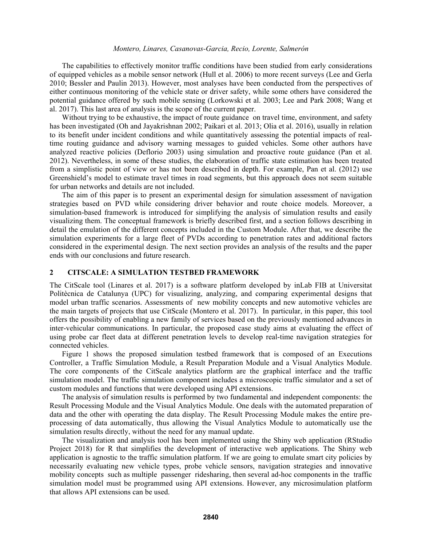The capabilities to effectively monitor traffic conditions have been studied from early considerations of equipped vehicles as a mobile sensor network (Hull et al. 2006) to more recent surveys (Lee and Gerla 2010; Bessler and Paulin 2013). However, most analyses have been conducted from the perspectives of either continuous monitoring of the vehicle state or driver safety, while some others have considered the potential guidance offered by such mobile sensing (Lorkowski et al. 2003; Lee and Park 2008; Wang et al. 2017). This last area of analysis is the scope of the current paper.

Without trying to be exhaustive, the impact of route guidance on travel time, environment, and safety has been investigated (Oh and Jayakrishnan 2002; Paikari et al. 2013; Olia et al. 2016), usually in relation to its benefit under incident conditions and while quantitatively assessing the potential impacts of realtime routing guidance and advisory warning messages to guided vehicles. Some other authors have analyzed reactive policies (Deflorio 2003) using simulation and proactive route guidance (Pan et al. 2012). Nevertheless, in some of these studies, the elaboration of traffic state estimation has been treated from a simplistic point of view or has not been described in depth. For example, Pan et al. (2012) use Greenshield's model to estimate travel times in road segments, but this approach does not seem suitable for urban networks and details are not included.

The aim of this paper is to present an experimental design for simulation assessment of navigation strategies based on PVD while considering driver behavior and route choice models. Moreover, a simulation-based framework is introduced for simplifying the analysis of simulation results and easily visualizing them. The conceptual framework is briefly described first, and a section follows describing in detail the emulation of the different concepts included in the Custom Module. After that, we describe the simulation experiments for a large fleet of PVDs according to penetration rates and additional factors considered in the experimental design. The next section provides an analysis of the results and the paper ends with our conclusions and future research.

## **2 CITSCALE: A SIMULATION TESTBED FRAMEWORK**

The CitScale tool (Linares et al. 2017) is a software platform developed by inLab FIB at Universitat Politècnica de Catalunya (UPC) for visualizing, analyzing, and comparing experimental designs that model urban traffic scenarios. Assessments of new mobility concepts and new automotive vehicles are the main targets of projects that use CitScale (Montero et al. 2017). In particular, in this paper, this tool offers the possibility of enabling a new family of services based on the previously mentioned advances in inter-vehicular communications. In particular, the proposed case study aims at evaluating the effect of using probe car fleet data at different penetration levels to develop real-time navigation strategies for connected vehicles.

Figure 1 shows the proposed simulation testbed framework that is composed of an Executions Controller, a Traffic Simulation Module, a Result Preparation Module and a Visual Analytics Module. The core components of the CitScale analytics platform are the graphical interface and the traffic simulation model. The traffic simulation component includes a microscopic traffic simulator and a set of custom modules and functions that were developed using API extensions.

The analysis of simulation results is performed by two fundamental and independent components: the Result Processing Module and the Visual Analytics Module. One deals with the automated preparation of data and the other with operating the data display. The Result Processing Module makes the entire preprocessing of data automatically, thus allowing the Visual Analytics Module to automatically use the simulation results directly, without the need for any manual update.

The visualization and analysis tool has been implemented using the Shiny web application (RStudio Project 2018) for R that simplifies the development of interactive web applications. The Shiny web application is agnostic to the traffic simulation platform. If we are going to emulate smart city policies by necessarily evaluating new vehicle types, probe vehicle sensors, navigation strategies and innovative mobility concepts such as multiple passenger ridesharing, then several ad-hoc components in the traffic simulation model must be programmed using API extensions. However, any microsimulation platform that allows API extensions can be used.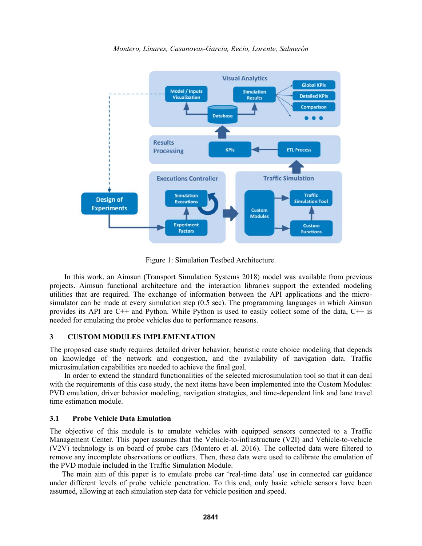

*Montero, Linares, Casanovas-Garcia, Recio, Lorente, Salmerón* 

Figure 1: Simulation Testbed Architecture.

In this work, an Aimsun (Transport Simulation Systems 2018) model was available from previous projects. Aimsun functional architecture and the interaction libraries support the extended modeling utilities that are required. The exchange of information between the API applications and the microsimulator can be made at every simulation step (0.5 sec). The programming languages in which Aimsun provides its API are C++ and Python. While Python is used to easily collect some of the data, C++ is needed for emulating the probe vehicles due to performance reasons.

## **3 CUSTOM MODULES IMPLEMENTATION**

The proposed case study requires detailed driver behavior, heuristic route choice modeling that depends on knowledge of the network and congestion, and the availability of navigation data. Traffic microsimulation capabilities are needed to achieve the final goal.

In order to extend the standard functionalities of the selected microsimulation tool so that it can deal with the requirements of this case study, the next items have been implemented into the Custom Modules: PVD emulation, driver behavior modeling, navigation strategies, and time-dependent link and lane travel time estimation module.

### **3.1 Probe Vehicle Data Emulation**

The objective of this module is to emulate vehicles with equipped sensors connected to a Traffic Management Center. This paper assumes that the Vehicle-to-infrastructure (V2I) and Vehicle-to-vehicle (V2V) technology is on board of probe cars (Montero et al. 2016). The collected data were filtered to remove any incomplete observations or outliers. Then, these data were used to calibrate the emulation of the PVD module included in the Traffic Simulation Module.

The main aim of this paper is to emulate probe car 'real-time data' use in connected car guidance under different levels of probe vehicle penetration. To this end, only basic vehicle sensors have been assumed, allowing at each simulation step data for vehicle position and speed.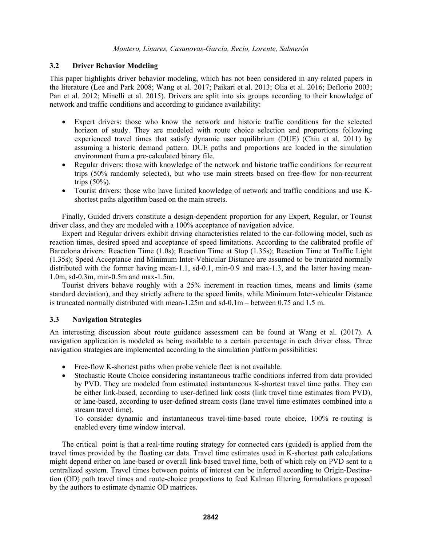## **3.2 Driver Behavior Modeling**

This paper highlights driver behavior modeling, which has not been considered in any related papers in the literature (Lee and Park 2008; Wang et al. 2017; Paikari et al. 2013; Olia et al. 2016; Deflorio 2003; Pan et al. 2012; Minelli et al. 2015). Drivers are split into six groups according to their knowledge of network and traffic conditions and according to guidance availability:

- Expert drivers: those who know the network and historic traffic conditions for the selected horizon of study. They are modeled with route choice selection and proportions following experienced travel times that satisfy dynamic user equilibrium (DUE) (Chiu et al. 2011) by assuming a historic demand pattern. DUE paths and proportions are loaded in the simulation environment from a pre-calculated binary file.
- Regular drivers: those with knowledge of the network and historic traffic conditions for recurrent trips (50% randomly selected), but who use main streets based on free-flow for non-recurrent trips (50%).
- Tourist drivers: those who have limited knowledge of network and traffic conditions and use Kshortest paths algorithm based on the main streets.

Finally, Guided drivers constitute a design-dependent proportion for any Expert, Regular, or Tourist driver class, and they are modeled with a 100% acceptance of navigation advice.

Expert and Regular drivers exhibit driving characteristics related to the car-following model, such as reaction times, desired speed and acceptance of speed limitations. According to the calibrated profile of Barcelona drivers: Reaction Time (1.0s); Reaction Time at Stop (1.35s); Reaction Time at Traffic Light (1.35s); Speed Acceptance and Minimum Inter-Vehicular Distance are assumed to be truncated normally distributed with the former having mean-1.1, sd-0.1, min-0.9 and max-1.3, and the latter having mean-1.0m, sd-0.3m, min-0.5m and max-1.5m.

Tourist drivers behave roughly with a 25% increment in reaction times, means and limits (same standard deviation), and they strictly adhere to the speed limits, while Minimum Inter-vehicular Distance is truncated normally distributed with mean-1.25m and sd-0.1m – between 0.75 and 1.5 m.

## **3.3 Navigation Strategies**

An interesting discussion about route guidance assessment can be found at Wang et al. (2017). A navigation application is modeled as being available to a certain percentage in each driver class. Three navigation strategies are implemented according to the simulation platform possibilities:

- Free-flow K-shortest paths when probe vehicle fleet is not available.
- Stochastic Route Choice considering instantaneous traffic conditions inferred from data provided by PVD. They are modeled from estimated instantaneous K-shortest travel time paths. They can be either link-based, according to user-defined link costs (link travel time estimates from PVD), or lane-based, according to user-defined stream costs (lane travel time estimates combined into a stream travel time).

To consider dynamic and instantaneous travel-time-based route choice, 100% re-routing is enabled every time window interval.

The critical point is that a real-time routing strategy for connected cars (guided) is applied from the travel times provided by the floating car data. Travel time estimates used in K-shortest path calculations might depend either on lane-based or overall link-based travel time, both of which rely on PVD sent to a centralized system. Travel times between points of interest can be inferred according to Origin-Destination (OD) path travel times and route-choice proportions to feed Kalman filtering formulations proposed by the authors to estimate dynamic OD matrices.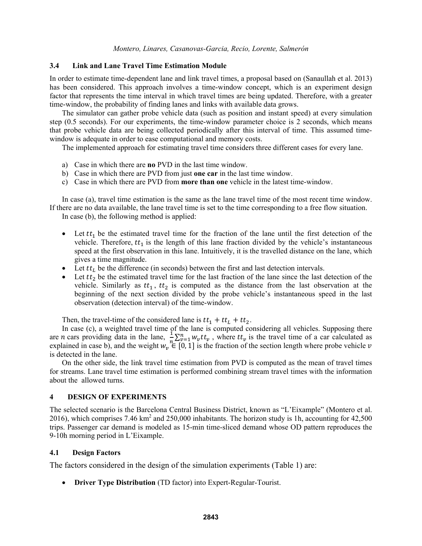### **3.4 Link and Lane Travel Time Estimation Module**

In order to estimate time-dependent lane and link travel times, a proposal based on (Sanaullah et al. 2013) has been considered. This approach involves a time-window concept, which is an experiment design factor that represents the time interval in which travel times are being updated. Therefore, with a greater time-window, the probability of finding lanes and links with available data grows.

The simulator can gather probe vehicle data (such as position and instant speed) at every simulation step (0.5 seconds). For our experiments, the time-window parameter choice is 2 seconds, which means that probe vehicle data are being collected periodically after this interval of time. This assumed timewindow is adequate in order to ease computational and memory costs.

The implemented approach for estimating travel time considers three different cases for every lane.

- a) Case in which there are **no** PVD in the last time window.
- b) Case in which there are PVD from just **one car** in the last time window.
- c) Case in which there are PVD from **more than one** vehicle in the latest time-window.

In case (a), travel time estimation is the same as the lane travel time of the most recent time window. If there are no data available, the lane travel time is set to the time corresponding to a free flow situation. In case (b), the following method is applied:

- $\bullet$  Let  $tt_1$  be the estimated travel time for the fraction of the lane until the first detection of the vehicle. Therefore,  $tt_1$  is the length of this lane fraction divided by the vehicle's instantaneous speed at the first observation in this lane. Intuitively, it is the travelled distance on the lane, which gives a time magnitude.
- Let  $tt_L$  be the difference (in seconds) between the first and last detection intervals.
- Let  $tt_2$  be the estimated travel time for the last fraction of the lane since the last detection of the vehicle. Similarly as  $tt_1$ ,  $tt_2$  is computed as the distance from the last observation at the beginning of the next section divided by the probe vehicle's instantaneous speed in the last observation (detection interval) of the time-window.

Then, the travel-time of the considered lane is  $tt_1 + tt_1 + tt_2$ .

 In case (c), a weighted travel time of the lane is computed considering all vehicles. Supposing there are *n* cars providing data in the lane,  $\frac{1}{n} \sum_{v=1}^{n} w_v t t_v$ , where  $t t_v$  is the travel time of a car calculated as explained in case b), and the weight  $w_v \in [0, 1]$  is the fraction of the section length where probe vehicle  $v$ is detected in the lane.

On the other side, the link travel time estimation from PVD is computed as the mean of travel times for streams. Lane travel time estimation is performed combining stream travel times with the information about the allowed turns.

#### **4 DESIGN OF EXPERIMENTS**

The selected scenario is the Barcelona Central Business District, known as "L'Eixample" (Montero et al. 2016), which comprises 7.46 km<sup>2</sup> and 250,000 inhabitants. The horizon study is 1h, accounting for  $42,500$ trips. Passenger car demand is modeled as 15-min time-sliced demand whose OD pattern reproduces the 9-10h morning period in L'Eixample.

#### **4.1 Design Factors**

The factors considered in the design of the simulation experiments (Table 1) are:

**Driver Type Distribution** (TD factor) into Expert-Regular-Tourist.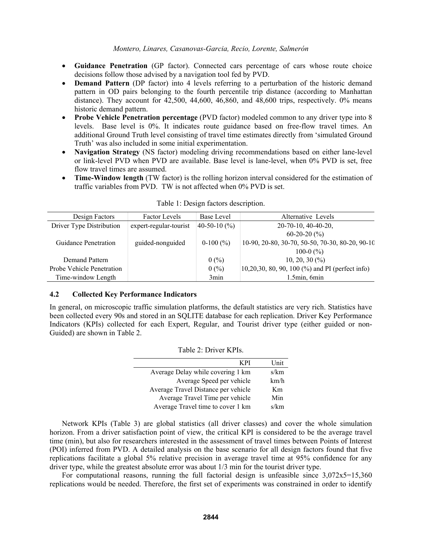- **Guidance Penetration** (GP factor). Connected cars percentage of cars whose route choice decisions follow those advised by a navigation tool fed by PVD.
- **Demand Pattern** (DP factor) into 4 levels referring to a perturbation of the historic demand pattern in OD pairs belonging to the fourth percentile trip distance (according to Manhattan distance). They account for  $42,500$ ,  $44,600$ ,  $46,860$ , and  $48,600$  trips, respectively. 0% means historic demand pattern.
- **Probe Vehicle Penetration percentage** (PVD factor) modeled common to any driver type into 8 levels. Base level is 0%. It indicates route guidance based on free-flow travel times. An additional Ground Truth level consisting of travel time estimates directly from 'simulated Ground Truth' was also included in some initial experimentation.
- **Navigation Strategy** (NS factor) modeling driving recommendations based on either lane-level or link-level PVD when PVD are available. Base level is lane-level, when 0% PVD is set, free flow travel times are assumed.
- **Time-Window length** (TW factor) is the rolling horizon interval considered for the estimation of traffic variables from PVD. TW is not affected when 0% PVD is set.

| Design Factors            | <b>Factor Levels</b>   | Base Level       | Alternative Levels                                        |
|---------------------------|------------------------|------------------|-----------------------------------------------------------|
| Driver Type Distribution  | expert-regular-tourist | 40-50-10 $(\% )$ | $20-70-10$ , 40-40-20,                                    |
|                           |                        |                  | $60-20-20(%)$                                             |
| Guidance Penetration      | guided-nonguided       | $0-100(%)$       | 10-90, 20-80, 30-70, 50-50, 70-30, 80-20, 90-10           |
|                           |                        |                  | 100-0 $(\% )$                                             |
| Demand Pattern            |                        | 0(%)             | $10, 20, 30\ (%)$                                         |
| Probe Vehicle Penetration |                        | 0(%)             | 10,20,30, 80, 90, 100 $\frac{9}{6}$ and PI (perfect info) |
| Time-window Length        |                        | 3 <sub>min</sub> | 1.5min, 6min                                              |

### Table 1: Design factors description.

# **4.2 Collected Key Performance Indicators**

In general, on microscopic traffic simulation platforms, the default statistics are very rich. Statistics have been collected every 90s and stored in an SQLITE database for each replication. Driver Key Performance Indicators (KPIs) collected for each Expert, Regular, and Tourist driver type (either guided or non-Guided) are shown in Table 2.

| K PI                                | Unit                      |
|-------------------------------------|---------------------------|
| Average Delay while covering 1 km   | s/km                      |
| Average Speed per vehicle           | km/h                      |
| Average Travel Distance per vehicle | Km                        |
| Average Travel Time per vehicle     | Min                       |
| Average Travel time to cover 1 km   | $\mathbf{c}/\mathbf{k}$ m |

### Table 2: Driver KPIs.

Network KPIs (Table 3) are global statistics (all driver classes) and cover the whole simulation horizon. From a driver satisfaction point of view, the critical KPI is considered to be the average travel time (min), but also for researchers interested in the assessment of travel times between Points of Interest (POI) inferred from PVD. A detailed analysis on the base scenario for all design factors found that five replications facilitate a global 5% relative precision in average travel time at 95% confidence for any driver type, while the greatest absolute error was about  $1/3$  min for the tourist driver type.

For computational reasons, running the full factorial design is unfeasible since  $3,072x5=15,360$ replications would be needed. Therefore, the first set of experiments was constrained in order to identify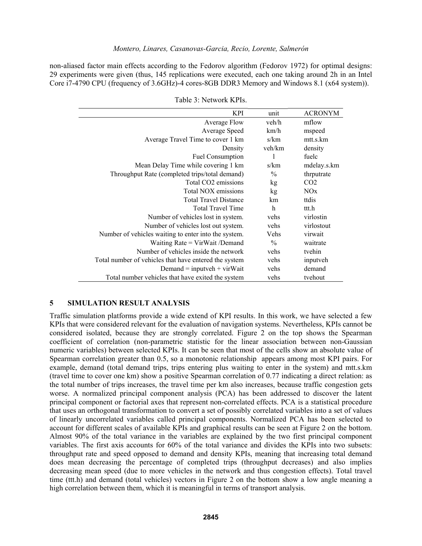non-aliased factor main effects according to the Fedorov algorithm (Fedorov 1972) for optimal designs: 29 experiments were given (thus, 145 replications were executed, each one taking around 2h in an Intel Core i7-4790 CPU (frequency of 3.6GHz)-4 cores-8GB DDR3 Memory and Windows 8.1 (x64 system)).

| KPI                                                   | unit          | <b>ACRONYM</b>  |
|-------------------------------------------------------|---------------|-----------------|
| Average Flow                                          | veh/h         | mflow           |
| Average Speed                                         | km/h          | mspeed          |
| Average Travel Time to cover 1 km                     | s/km          | mtt.s.km        |
| Density                                               | veh/km        | density         |
| Fuel Consumption                                      |               | fuelc           |
| Mean Delay Time while covering 1 km                   | s/km          | mdelay.s.km     |
| Throughput Rate (completed trips/total demand)        | $\frac{0}{0}$ | thrputrate      |
| Total CO <sub>2</sub> emissions                       | kg            | CO <sub>2</sub> |
| Total NOX emissions                                   | kg            | NOx             |
| <b>Total Travel Distance</b>                          | km            | ttdis           |
| <b>Total Travel Time</b>                              | h             | ttt.h           |
| Number of vehicles lost in system.                    | vehs          | virlostin       |
| Number of vehicles lost out system.                   | vehs          | virlostout      |
| Number of vehicles waiting to enter into the system.  | Vehs          | virwait         |
| Waiting $Rate = VirWait/Demand$                       | $\frac{0}{0}$ | waitrate        |
| Number of vehicles inside the network                 | vehs          | tvehin          |
| Total number of vehicles that have entered the system | vehs          | inputveh        |
| Demand = inputveh + virWait                           | vehs          | demand          |
| Total number vehicles that have exited the system     | vehs          | tvehout         |

Table 3: Network KPIs.

# **5 SIMULATION RESULT ANALYSIS**

Traffic simulation platforms provide a wide extend of KPI results. In this work, we have selected a few KPIs that were considered relevant for the evaluation of navigation systems. Nevertheless, KPIs cannot be considered isolated, because they are strongly correlated. Figure 2 on the top shows the Spearman coefficient of correlation (non-parametric statistic for the linear association between non-Gaussian numeric variables) between selected KPIs. It can be seen that most of the cells show an absolute value of Spearman correlation greater than 0.5, so a monotonic relationship appears among most KPI pairs. For example, demand (total demand trips, trips entering plus waiting to enter in the system) and mtt.s.km (travel time to cover one km) show a positive Spearman correlation of 0.77 indicating a direct relation: as the total number of trips increases, the travel time per km also increases, because traffic congestion gets worse. A normalized principal component analysis (PCA) has been addressed to discover the latent principal component or factorial axes that represent non-correlated effects. PCA is a statistical procedure that uses an orthogonal transformation to convert a set of possibly correlated variables into a set of values of linearly uncorrelated variables called principal components. Normalized PCA has been selected to account for different scales of available KPIs and graphical results can be seen at Figure 2 on the bottom. Almost 90% of the total variance in the variables are explained by the two first principal component variables. The first axis accounts for 60% of the total variance and divides the KPIs into two subsets: throughput rate and speed opposed to demand and density KPIs, meaning that increasing total demand does mean decreasing the percentage of completed trips (throughput decreases) and also implies decreasing mean speed (due to more vehicles in the network and thus congestion effects). Total travel time (ttt.h) and demand (total vehicles) vectors in Figure 2 on the bottom show a low angle meaning a high correlation between them, which it is meaningful in terms of transport analysis.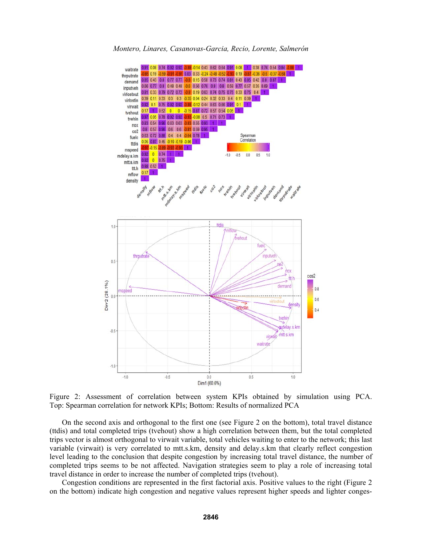

Figure 2: Assessment of correlation between system KPIs obtained by simulation using PCA. Top: Spearman correlation for network KPIs; Bottom: Results of normalized PCA

On the second axis and orthogonal to the first one (see Figure 2 on the bottom), total travel distance (ttdis) and total completed trips (tvehout) show a high correlation between them, but the total completed trips vector is almost orthogonal to virwait variable, total vehicles waiting to enter to the network; this last variable (virwait) is very correlated to mtt.s.km, density and delay.s.km that clearly reflect congestion level leading to the conclusion that despite congestion by increasing total travel distance, the number of completed trips seems to be not affected. Navigation strategies seem to play a role of increasing total travel distance in order to increase the number of completed trips (tvehout).

Congestion conditions are represented in the first factorial axis. Positive values to the right (Figure 2 on the bottom) indicate high congestion and negative values represent higher speeds and lighter conges-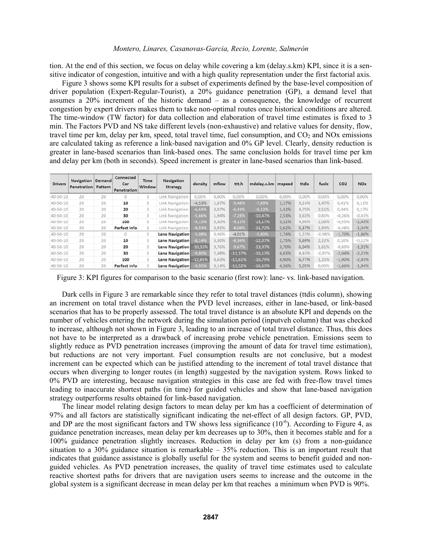tion. At the end of this section, we focus on delay while covering a km (delay.s.km) KPI, since it is a sensitive indicator of congestion, intuitive and with a high quality representation under the first factorial axis.

Figure 3 shows some KPI results for a subset of experiments defined by the base-level composition of driver population (Expert-Regular-Tourist), a 20% guidance penetration (GP), a demand level that assumes a 20% increment of the historic demand – as a consequence, the knowledge of recurrent congestion by expert drivers makes them to take non-optimal routes once historical conditions are altered. The time-window (TW factor) for data collection and elaboration of travel time estimates is fixed to 3 min. The Factors PVD and NS take different levels (non-exhaustive) and relative values for density, flow, travel time per km, delay per km, speed, total travel time, fuel consumption, and  $CO<sub>2</sub>$  and NOx emissions are calculated taking as reference a link-based navigation and 0% GP level. Clearly, density reduction is greater in lane-based scenarios than link-based ones. The same conclusion holds for travel time per km and delay per km (both in seconds). Speed increment is greater in lane-based scenarios than link-based.

| <b>Drivers</b> | <b>Navigation Demand</b><br>Penetration | Pattern | Connected<br>Car<br>Penetration | Time<br>Window | Navigation<br>Strategy | density  | mflow | ttt.h     | mdelay.s.km | mspeed | ttdis | fuelc    | CO <sub>2</sub> | <b>NOx</b> |
|----------------|-----------------------------------------|---------|---------------------------------|----------------|------------------------|----------|-------|-----------|-------------|--------|-------|----------|-----------------|------------|
| 40-50-10       | 20                                      | 20      | 0                               | 5              | Link Navigation        | 0,00%    | 0,00% | 0.00%     | 0,00%       | 0,00%  | 0,00% | 0,00%    | 0,00%           | 0,00%      |
| 40-50-10       | 20                                      | 20      | 10                              | 3              | Link Navigation        | $-4,53%$ | 1,67% | $-5,48%$  | $-7,89%$    | 1,17%  | 3,14% | 1,47%    | 0,41%           | 0,11%      |
| 40-50-10       | 20                                      | 20      | 20                              | 3              | Link Navigation        | $-6,64%$ | 3,07% | $-6,33%$  | $-9,12%$    | 1,42%  | 4,75% | 2,51%    | 0,44%           | 0,17%      |
| 40-50-10       | 20                                      | 20      | 30                              | 3              | Link Navigation        | $-5,66%$ | 1,94% | 7,28%     | $-10,47%$   | 2,53%  | 3,63% | 0,80%    | $-0,26%$        | $-0.43%$   |
| 40-50-10       | 20                                      | 20      | 100                             | 3              | Link Navigation        | $-9,15%$ | 3,30% | $-9,12%$  | $-13,17%$   | 3,32%  | 4,96% | 1,08%    | $-0,95%$        | $-1,45%$   |
| 40-50-10       | 20                                      | 20      | Perfect Info                    |                | Link Navigation        | $-8,93%$ | 3,91% | $-8,08%$  | $-11,72%$   | 2,62%  | 5,37% | 1.94%    | $-0,48%$        | $-1,04%$   |
| $40 - 50 - 10$ | 20                                      | 20      | 0                               |                | Lane Navigation        | 5,08%    | 0,96% | $-4,01%$  | $-5,80%$    | 1,74%  | 1,23% | $-0.98%$ | $-1,70%$        | $-1,86%$   |
| 40-50-10       | 20                                      | 20      | 10                              | 3              | Lane Navigation        | 8,14%    | 3,30% | $-8,34%$  | $-12,07%$   | 2,75%  | 5,69% | 2,22%    | 0,10%           | $-0,12%$   |
| 40-50-10       | 20                                      | 20      | 20                              | 3              | Lane Navigation        | 10,33%   | 3,76% | $-9,67%$  | $-13,97%$   | 3,70%  | 6,04% | 1,61%    | $-0,89%$        | $-1,31%$   |
| 40-50-10       | 20                                      | 20      | 30                              | 3              | Lane Navigation        | 9,80%    | 2,48% | $-11.17%$ | $-16,13%$   | 4,63%  | 4,43% | $-0.87%$ | $-2.04%$        | $-2.23%$   |
| 40-50-10       | 20                                      | 20      | 100                             | 3              | Lane Navigation        | 12,85%   | 4,63% | $-11,61%$ | $-16,79%$   | 4,90%  | 6,77% | 1,25%    | $-1,90%$        | $-2,45%$   |
| $40 - 50 - 10$ | 20                                      | 20      | Perfect Info                    | 3              | Lane Navigation        | 9,95%    | 3,14% | $-11,52%$ | $-16,63%$   | 4,56%  | 5,05% | 0,09%    | $-1,66%$        | $-1,94%$   |

Figure 3: KPI figures for comparison to the basic scenario (first row): lane- vs. link-based navigation.

Dark cells in Figure 3 are remarkable since they refer to total travel distances (ttdis column), showing an increment on total travel distance when the PVD level increases, either in lane-based, or link-based scenarios that has to be properly assessed. The total travel distance is an absolute KPI and depends on the number of vehicles entering the network during the simulation period (inputveh column) that was checked to increase, although not shown in Figure 3, leading to an increase of total travel distance. Thus, this does not have to be interpreted as a drawback of increasing probe vehicle penetration. Emissions seem to slightly reduce as PVD penetration increases (improving the amount of data for travel time estimation), but reductions are not very important. Fuel consumption results are not conclusive, but a modest increment can be expected which can be justified attending to the increment of total travel distance that occurs when diverging to longer routes (in length) suggested by the navigation system. Rows linked to 0% PVD are interesting, because navigation strategies in this case are fed with free-flow travel times leading to inaccurate shortest paths (in time) for guided vehicles and show that lane-based navigation strategy outperforms results obtained for link-based navigation.

The linear model relating design factors to mean delay per km has a coefficient of determination of 97% and all factors are statistically significant indicating the net-effect of all design factors. GP, PVD, and DP are the most significant factors and TW shows less significance  $(10^{-6})$ . According to Figure 4, as guidance penetration increases, mean delay per km decreases up to 30%, then it becomes stable and for a 100% guidance penetration slightly increases. Reduction in delay per km (s) from a non-guidance situation to a 30% guidance situation is remarkable  $-35%$  reduction. This is an important result that indicates that guidance assistance is globally useful for the system and seems to benefit guided and nonguided vehicles. As PVD penetration increases, the quality of travel time estimates used to calculate reactive shortest paths for drivers that are navigation users seems to increase and the outcome in the global system is a significant decrease in mean delay per km that reaches a minimum when PVD is 90%.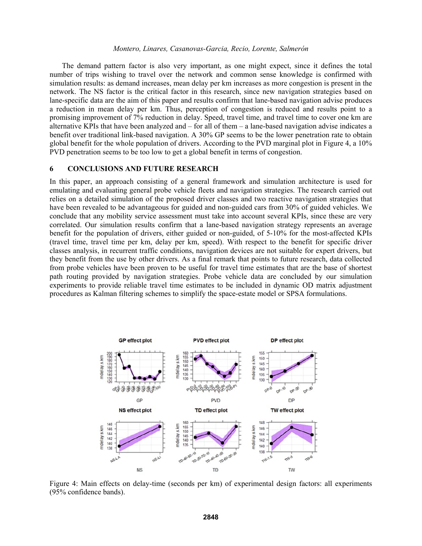The demand pattern factor is also very important, as one might expect, since it defines the total number of trips wishing to travel over the network and common sense knowledge is confirmed with simulation results: as demand increases, mean delay per km increases as more congestion is present in the network. The NS factor is the critical factor in this research, since new navigation strategies based on lane-specific data are the aim of this paper and results confirm that lane-based navigation advise produces a reduction in mean delay per km. Thus, perception of congestion is reduced and results point to a promising improvement of 7% reduction in delay. Speed, travel time, and travel time to cover one km are alternative KPIs that have been analyzed and – for all of them – a lane-based navigation advise indicates a benefit over traditional link-based navigation. A 30% GP seems to be the lower penetration rate to obtain global benefit for the whole population of drivers. According to the PVD marginal plot in Figure 4, a 10% PVD penetration seems to be too low to get a global benefit in terms of congestion.

### **6 CONCLUSIONS AND FUTURE RESEARCH**

In this paper, an approach consisting of a general framework and simulation architecture is used for emulating and evaluating general probe vehicle fleets and navigation strategies. The research carried out relies on a detailed simulation of the proposed driver classes and two reactive navigation strategies that have been revealed to be advantageous for guided and non-guided cars from 30% of guided vehicles. We conclude that any mobility service assessment must take into account several KPIs, since these are very correlated. Our simulation results confirm that a lane-based navigation strategy represents an average benefit for the population of drivers, either guided or non-guided, of 5-10% for the most-affected KPIs (travel time, travel time per km, delay per km, speed). With respect to the benefit for specific driver classes analysis, in recurrent traffic conditions, navigation devices are not suitable for expert drivers, but they benefit from the use by other drivers. As a final remark that points to future research, data collected from probe vehicles have been proven to be useful for travel time estimates that are the base of shortest path routing provided by navigation strategies. Probe vehicle data are concluded by our simulation experiments to provide reliable travel time estimates to be included in dynamic OD matrix adjustment procedures as Kalman filtering schemes to simplify the space-estate model or SPSA formulations.



Figure 4: Main effects on delay-time (seconds per km) of experimental design factors: all experiments (95% confidence bands).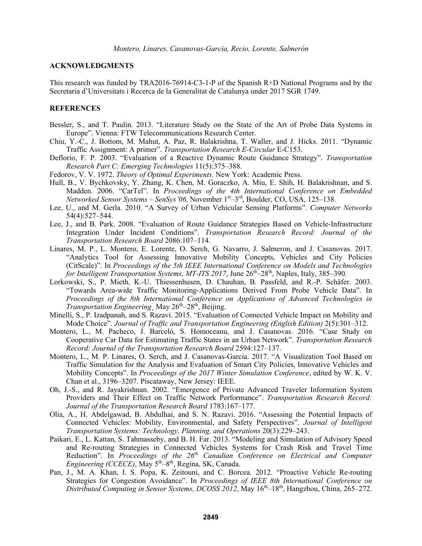### **ACKNOWLEDGMENTS**

This research was funded by TRA2016-76914-C3-1-P of the Spanish R+D National Programs and by the Secretaria d'Universitats i Recerca de la Generalitat de Catalunya under 2017 SGR 1749.

### **REFERENCES**

- Bessler, S., and T. Paulin. 2013. "Literature Study on the State of the Art of Probe Data Systems in Europe". Vienna: FTW Telecommunications Research Center.
- Chiu, Y.-C., J. Bottom, M. Mahut, A. Paz, R. Balakrishna, T. Waller, and J. Hicks. 2011. "Dynamic Traffic Assignment: A primer". *Transportation Research E-Circular* E-C153.
- Deflorio, F. P. 2003. "Evaluation of a Reactive Dynamic Route Guidance Strategy". *Transportation Research Part C: Emerging Technologies* 11(5):375–388.
- Fedorov, V. V. 1972. *Theory of Optimal Experiments*. New York: Academic Press.
- Hull, B., V. Bychkovsky, Y. Zhang, K. Chen, M. Goraczko, A. Miu, E. Shih, H. Balakrishnan, and S. Madden. 2006. "CarTel". In *Proceedings of the 4th International Conference on Embedded Networked Sensor Systems – SenSys'06*, November 1<sup>st</sup>–3<sup>rd</sup>, Boulder, CO, USA, 125–138.
- Lee, U., and M. Gerla. 2010. "A Survey of Urban Vehicular Sensing Platforms". *Computer Networks* 54(4):527–544.
- Lee, J., and B. Park. 2008. "Evaluation of Route Guidance Strategies Based on Vehicle-Infrastructure Integration Under Incident Conditions". *Transportation Research Record: Journal of the Transportation Research Board* 2086:107–114.
- Linares, M. P., L. Montero, E. Lorente, O. Serch, G. Navarro, J. Salmeron, and J. Casanovas. 2017. "Analytics Tool for Assessing Innovative Mobility Concepts, Vehicles and City Policies (CitScale)". In *Proceedings of the 5th IEEE International Conference on Models and Technologies for Intelligent Transportation Systems, MT-ITS 2017*, June  $26<sup>th</sup>-28<sup>th</sup>$ , Naples, Italy, 385–390.
- Lorkowski, S., P. Mieth, K.-U. Thiessenhusen, D. Chauhan, B. Passfeld, and R.-P. Schäfer. 2003. "Towards Area-wide Traffic Monitoring-Applications Derived From Probe Vehicle Data". In *Proceedings of the 8th International Conference on Applications of Advanced Technologies in Transportation Engineering*, May 26<sup>th</sup>–28<sup>th</sup>, Beijing.
- Minelli, S., P. Izadpanah, and S. Razavi. 2015. "Evaluation of Connected Vehicle Impact on Mobility and Mode Choice". *Journal of Traffic and Transportation Engineering (English Edition)* 2(5):301–312.
- Montero, L., M. Pacheco, J. Barceló, S. Homoceanu, and J. Casanovas. 2016. "Case Study on Cooperative Car Data for Estimating Traffic States in an Urban Network". *Transportation Research Record: Journal of the Transportation Research Board* 2594:127–137.
- Montero, L., M. P. Linares, O. Serch, and J. Casanovas-Garcia. 2017. "A Visualization Tool Based on Traffic Simulation for the Analysis and Evaluation of Smart City Policies, Innovative Vehicles and Mobility Concepts". In *Proceedings of the 2017 Winter Simulation Conference*, edited by W. K. V. Chan et al., 3196–3207. Piscataway, New Jersey: IEEE.
- Oh, J.-S., and R. Jayakrishnan. 2002. "Emergence of Private Advanced Traveler Information System Providers and Their Effect on Traffic Network Performance". *Transportation Research Record: Journal of the Transportation Research Board* 1783:167–177.
- Olia, A., H. Abdelgawad, B. Abdulhai, and S. N. Razavi. 2016. "Assessing the Potential Impacts of Connected Vehicles: Mobility, Environmental, and Safety Perspectives". *Journal of Intelligent Transportation Systems: Technology, Planning, and Operations* 20(3):229–243.
- Paikari, E., L. Kattan, S. Tahmasseby, and B. H. Far. 2013. "Modeling and Simulation of Advisory Speed and Re-routing Strategies in Connected Vehicles Systems for Crash Risk and Travel Time Reduction". In *Proceedings of the 26th Canadian Conference on Electrical and Computer Engineering (CCECE)*, May 5th–8th, Regina, SK, Canada.
- Pan, J., M. A. Khan, I. S. Popa, K. Zeitouni, and C. Borcea. 2012. "Proactive Vehicle Re-routing Strategies for Congestion Avoidance". In *Proceedings of IEEE 8th International Conference on Distributed Computing in Sensor Systems, DCOSS 2012*, May 16<sup>th</sup>–18<sup>th</sup>, Hangzhou, China, 265–272.